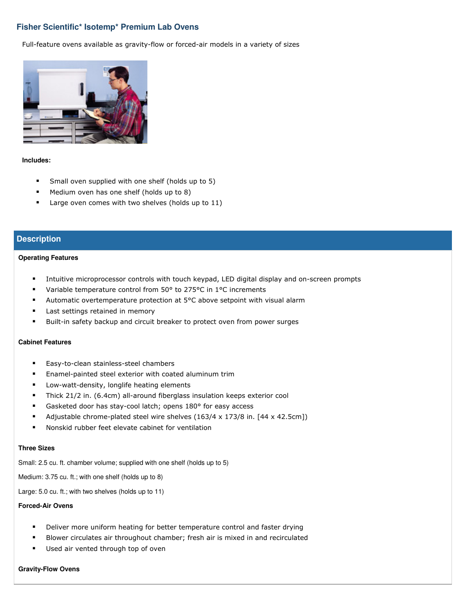# **Fisher Scientific\* Isotemp\* Premium Lab Ovens**

Full-feature ovens available as gravity-flow or forced-air models in a variety of sizes



#### **Includes:**

- **Small oven supplied with one shelf (holds up to 5)**
- **Medium oven has one shelf (holds up to 8)**
- Large oven comes with two shelves (holds up to 11)

## **Description**

#### **Operating Features**

- Intuitive microprocessor controls with touch keypad, LED digital display and on-screen prompts
- Variable temperature control from 50° to 275°C in 1°C increments
- Automatic overtemperature protection at 5°C above setpoint with visual alarm
- **Last settings retained in memory**
- **Built-in safety backup and circuit breaker to protect oven from power surges**

## **Cabinet Features**

- **Easy-to-clean stainless-steel chambers**
- Enamel-painted steel exterior with coated aluminum trim
- **EXEDENT ENSTANDI** Low-watt-density, longlife heating elements
- Thick 21/2 in. (6.4cm) all-around fiberglass insulation keeps exterior cool
- Gasketed door has stay-cool latch; opens 180° for easy access
- Adjustable chrome-plated steel wire shelves (163/4 x 173/8 in. [44 x 42.5cm])
- Nonskid rubber feet elevate cabinet for ventilation

#### **Three Sizes**

Small: 2.5 cu. ft. chamber volume; supplied with one shelf (holds up to 5)

Medium: 3.75 cu. ft.; with one shelf (holds up to 8)

Large: 5.0 cu. ft.; with two shelves (holds up to 11)

## **Forced-Air Ovens**

- Deliver more uniform heating for better temperature control and faster drying
- Blower circulates air throughout chamber; fresh air is mixed in and recirculated
- **Used air vented through top of oven**

#### **Gravity-Flow Ovens**